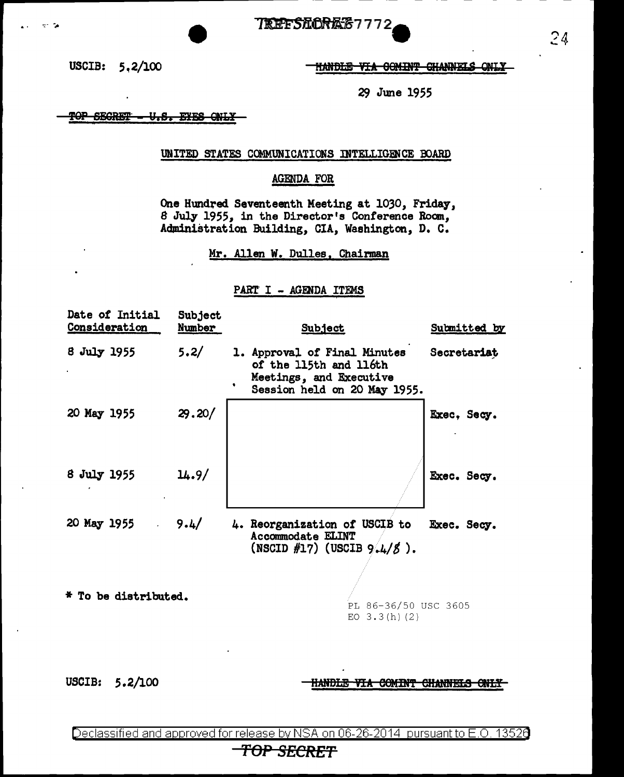**TREFSECRES7772** 

USCIB: 5.2/100

 $\sim$ 

HANDLE VIA GOMINT CHANNELS ONLY

29 June 1955

TOP SEGRET U.S. EYES ONLY

## UNITED STATES COMMUNICATIONS INTELLIGENCE BOARD

### **AGENDA FOR**

One Hundred Seventeenth Meeting at 1030, Friday, 8 July 1955, in the Director's Conference Room, Administration Building, CIA, Washington, D. C.

Mr. Allen W. Dulles, Chairman

## PART I - AGENDA ITEMS

| Date of Initial<br>Consideration | Subject<br><u>Number</u> | <b>Subject</b>                                                                                                    | Submitted by |
|----------------------------------|--------------------------|-------------------------------------------------------------------------------------------------------------------|--------------|
| 8 July 1955                      | 5.2/                     | 1. Approval of Final Minutes<br>of the 115th and 116th<br>Meetings, and Executive<br>Session held on 20 May 1955. | Secretariat  |
| 20 May 1955                      | 29.20/                   |                                                                                                                   | Exec, Secy.  |
| 8 July 1955                      | 14.9/                    |                                                                                                                   | Exec. Secy.  |
| 20 May 1955                      | 9.4/                     | 4. Reorganization of USCIB to<br><b>Accommodate ELINT</b><br>(NSCID #17) (USCIB $9.4/5$ ).                        | Exec. Secy.  |
| * To be distributed.             |                          | PL 86-36/50 USC 3605<br>EO $3.3(h)$ (2)                                                                           |              |

USCIB: 5.2/100

HANDLE VIA COMINT CHANNELS ONLY

Declassified and approved for release by NSA on 06-26-2014 pursuant to E.O. 13526